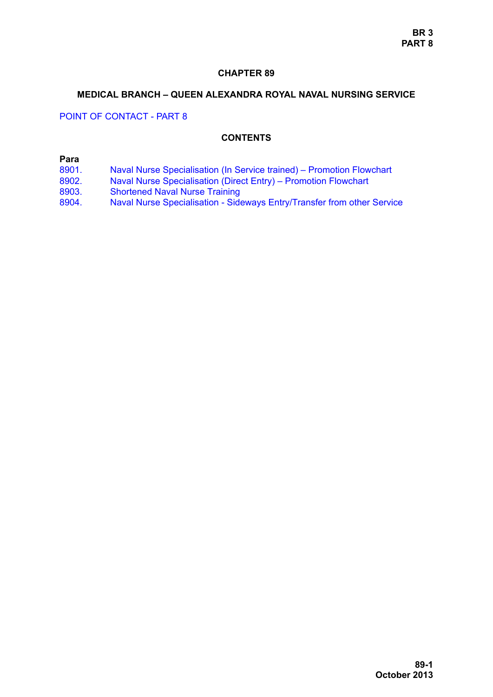### **CHAPTER 89**

#### **MEDICAL BRANCH – QUEEN ALEXANDRA ROYAL NAVAL NURSING SERVICE**

## POINT OF CONTACT - PART 8

#### **CONTENTS**

## **Para**

- [8901. Naval Nurse Specialisation \(In Service trained\) Promotion Flowchart](#page-1-0)
- [8902. Naval Nurse Specialisation \(Direct Entry\) Promotion Flowchart](#page-6-0)
- [8903. Shortened Naval Nurse Training](#page-7-0)
- [8904. Naval Nurse Specialisation Sideways Entry/Transfer from other Service](#page-7-1)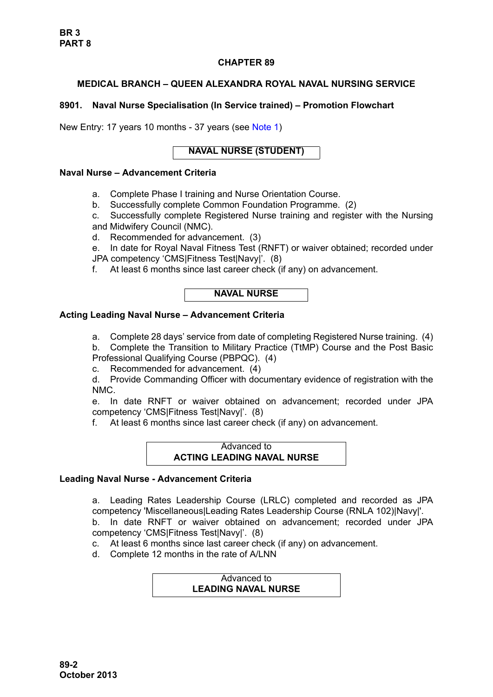## **CHAPTER 89**

# **MEDICAL BRANCH – QUEEN ALEXANDRA ROYAL NAVAL NURSING SERVICE**

## <span id="page-1-0"></span>**8901. Naval Nurse Specialisation (In Service trained) – Promotion Flowchart**

New Entry: 17 years 10 months - 37 years (see [Note 1\)](#page-3-0)

# **NAVAL NURSE (STUDENT)**

### **Naval Nurse – Advancement Criteria**

- a. Complete Phase I training and Nurse Orientation Course.
- b. Successfully complete Common Foundation Programme. (2)
- c. Successfully complete Registered Nurse training and register with the Nursing and Midwifery Council (NMC).
- d. Recommended for advancement. (3)
- e. In date for Royal Naval Fitness Test (RNFT) or waiver obtained; recorded under
- JPA competency 'CMS|Fitness Test|Navy|'. (8)
- f. At least 6 months since last career check (if any) on advancement.



## **Acting Leading Naval Nurse – Advancement Criteria**

a. Complete 28 days' service from date of completing Registered Nurse training. (4)

b. Complete the Transition to Military Practice (TtMP) Course and the Post Basic Professional Qualifying Course (PBPQC). (4)

c. Recommended for advancement. (4)

d. Provide Commanding Officer with documentary evidence of registration with the NMC.

e. In date RNFT or waiver obtained on advancement; recorded under JPA competency 'CMS|Fitness Test|Navy|'. (8)

f. At least 6 months since last career check (if any) on advancement.

#### Advanced to **ACTING LEADING NAVAL NURSE**

## **Leading Naval Nurse - Advancement Criteria**

a. Leading Rates Leadership Course (LRLC) completed and recorded as JPA competency 'Miscellaneous|Leading Rates Leadership Course (RNLA 102)|Navy|'.

b. In date RNFT or waiver obtained on advancement; recorded under JPA competency 'CMS|Fitness Test|Navy|'. (8)

c. At least 6 months since last career check (if any) on advancement.

d. Complete 12 months in the rate of A/LNN

#### Advanced to **LEADING NAVAL NURSE**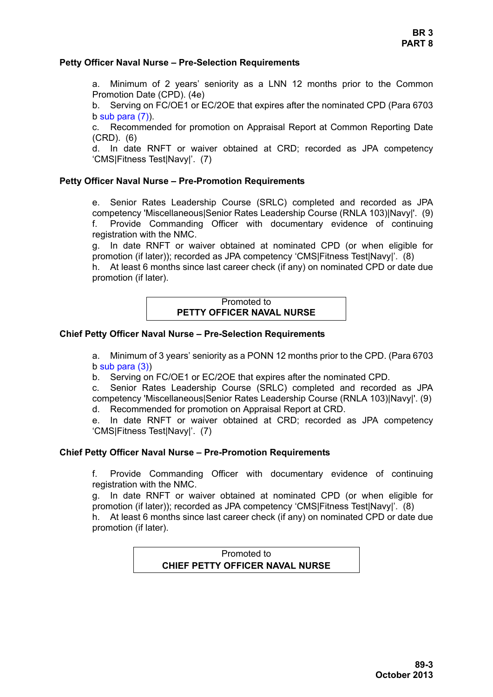### **Petty Officer Naval Nurse – Pre-Selection Requirements**

a. Minimum of 2 years' seniority as a LNN 12 months prior to the Common Promotion Date (CPD). (4e)

b. Serving on FC/OE1 or EC/2OE that expires after the nominated CPD (Para 6703  $b$  sub para  $(7)$ ).

c. Recommended for promotion on Appraisal Report at Common Reporting Date (CRD). (6)

d. In date RNFT or waiver obtained at CRD; recorded as JPA competency 'CMS|Fitness Test|Navy|'. (7)

### **Petty Officer Naval Nurse – Pre-Promotion Requirements**

e. Senior Rates Leadership Course (SRLC) completed and recorded as JPA competency 'Miscellaneous|Senior Rates Leadership Course (RNLA 103)|Navy|'. (9) f. Provide Commanding Officer with documentary evidence of continuing registration with the NMC.

g. In date RNFT or waiver obtained at nominated CPD (or when eligible for promotion (if later)); recorded as JPA competency 'CMS|Fitness Test|Navy|'. (8)

h. At least 6 months since last career check (if any) on nominated CPD or date due promotion (if later).

## Promoted to **PETTY OFFICER NAVAL NURSE**

### **Chief Petty Officer Naval Nurse – Pre-Selection Requirements**

a. Minimum of 3 years' seniority as a PONN 12 months prior to the CPD. (Para 6703 b sub para (3))

b. Serving on FC/OE1 or EC/2OE that expires after the nominated CPD.

c. Senior Rates Leadership Course (SRLC) completed and recorded as JPA competency 'Miscellaneous|Senior Rates Leadership Course (RNLA 103)|Navy|'. (9)

d. Recommended for promotion on Appraisal Report at CRD.

e. In date RNFT or waiver obtained at CRD; recorded as JPA competency 'CMS|Fitness Test|Navy|'. (7)

#### **Chief Petty Officer Naval Nurse – Pre-Promotion Requirements**

f. Provide Commanding Officer with documentary evidence of continuing registration with the NMC.

g. In date RNFT or waiver obtained at nominated CPD (or when eligible for promotion (if later)); recorded as JPA competency 'CMS|Fitness Test|Navy|'. (8)

h. At least 6 months since last career check (if any) on nominated CPD or date due promotion (if later).

> Promoted to **CHIEF PETTY OFFICER NAVAL NURSE**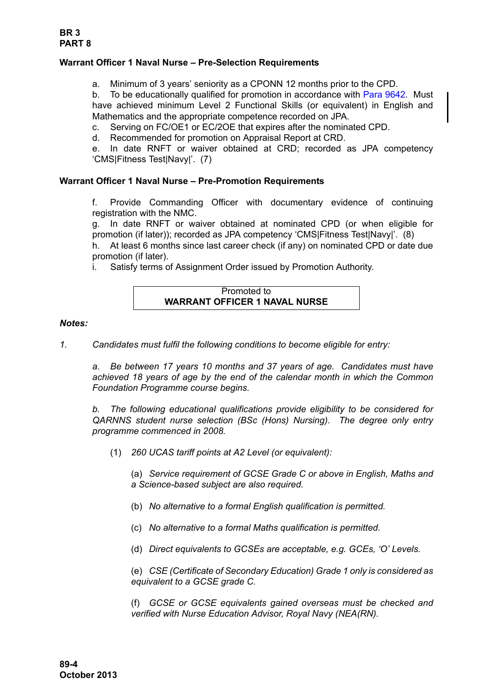## **Warrant Officer 1 Naval Nurse – Pre-Selection Requirements**

a. Minimum of 3 years' seniority as a CPONN 12 months prior to the CPD.

b. To be educationally qualified for promotion in accordance with [Para 9642.](#page-35-0) Must have achieved minimum Level 2 Functional Skills (or equivalent) in English and Mathematics and the appropriate competence recorded on JPA.

c. Serving on FC/OE1 or EC/2OE that expires after the nominated CPD.

d. Recommended for promotion on Appraisal Report at CRD.

e. In date RNFT or waiver obtained at CRD; recorded as JPA competency 'CMS|Fitness Test|Navy|'. (7)

### **Warrant Officer 1 Naval Nurse – Pre-Promotion Requirements**

f. Provide Commanding Officer with documentary evidence of continuing registration with the NMC.

g. In date RNFT or waiver obtained at nominated CPD (or when eligible for promotion (if later)); recorded as JPA competency 'CMS|Fitness Test|Navy|'. (8)

h. At least 6 months since last career check (if any) on nominated CPD or date due promotion (if later).

i. Satisfy terms of Assignment Order issued by Promotion Authority.

## Promoted to **WARRANT OFFICER 1 NAVAL NURSE**

#### *Notes:*

<span id="page-3-0"></span>*1. Candidates must fulfil the following conditions to become eligible for entry:*

*a. Be between 17 years 10 months and 37 years of age. Candidates must have achieved 18 years of age by the end of the calendar month in which the Common Foundation Programme course begins.*

<span id="page-3-1"></span>*b. The following educational qualifications provide eligibility to be considered for QARNNS student nurse selection (BSc (Hons) Nursing). The degree only entry programme commenced in 2008.*

(1) *260 UCAS tariff points at A2 Level (or equivalent):*

(a) *Service requirement of GCSE Grade C or above in English, Maths and a Science-based subject are also required.*

- (b) *No alternative to a formal English qualification is permitted.*
- (c) *No alternative to a formal Maths qualification is permitted.*
- (d) *Direct equivalents to GCSEs are acceptable, e.g. GCEs, 'O' Levels.*

(e) *CSE (Certificate of Secondary Education) Grade 1 only is considered as equivalent to a GCSE grade C.*

(f) *GCSE or GCSE equivalents gained overseas must be checked and verified with Nurse Education Advisor, Royal Navy (NEA(RN).*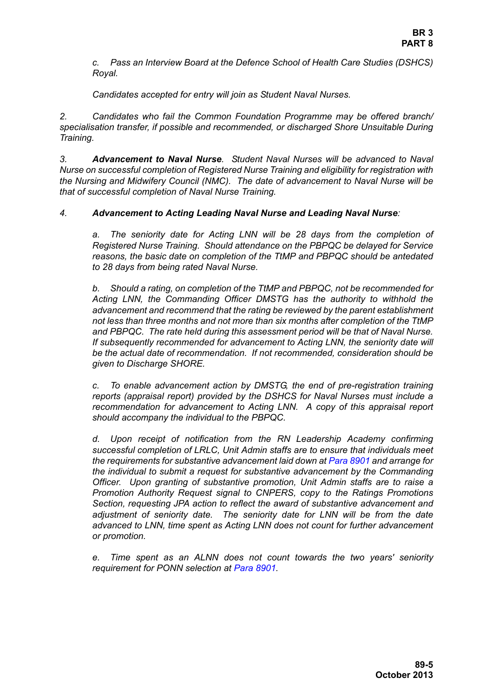*c. Pass an Interview Board at the Defence School of Health Care Studies (DSHCS) Royal.*

*Candidates accepted for entry will join as Student Naval Nurses.*

*2. Candidates who fail the Common Foundation Programme may be offered branch/ specialisation transfer, if possible and recommended, or discharged Shore Unsuitable During Training.*

*3. Advancement to Naval Nurse. Student Naval Nurses will be advanced to Naval Nurse on successful completion of Registered Nurse Training and eligibility for registration with the Nursing and Midwifery Council (NMC). The date of advancement to Naval Nurse will be that of successful completion of Naval Nurse Training.*

## *4. Advancement to Acting Leading Naval Nurse and Leading Naval Nurse:*

*a. The seniority date for Acting LNN will be 28 days from the completion of Registered Nurse Training. Should attendance on the PBPQC be delayed for Service reasons, the basic date on completion of the TtMP and PBPQC should be antedated to 28 days from being rated Naval Nurse.*

*b. Should a rating, on completion of the TtMP and PBPQC, not be recommended for Acting LNN, the Commanding Officer DMSTG has the authority to withhold the advancement and recommend that the rating be reviewed by the parent establishment not less than three months and not more than six months after completion of the TtMP and PBPQC. The rate held during this assessment period will be that of Naval Nurse. If subsequently recommended for advancement to Acting LNN, the seniority date will be the actual date of recommendation. If not recommended, consideration should be given to Discharge SHORE.*

*c. To enable advancement action by DMSTG, the end of pre-registration training reports (appraisal report) provided by the DSHCS for Naval Nurses must include a recommendation for advancement to Acting LNN. A copy of this appraisal report should accompany the individual to the PBPQC.*

*d. Upon receipt of notification from the RN Leadership Academy confirming successful completion of LRLC, Unit Admin staffs are to ensure that individuals meet the requirements for substantive advancement laid down at [Para 8901](#page-1-0) and arrange for the individual to submit a request for substantive advancement by the Commanding Officer. Upon granting of substantive promotion, Unit Admin staffs are to raise a Promotion Authority Request signal to CNPERS, copy to the Ratings Promotions Section, requesting JPA action to reflect the award of substantive advancement and adjustment of seniority date. The seniority date for LNN will be from the date advanced to LNN, time spent as Acting LNN does not count for further advancement or promotion.*

*e. Time spent as an ALNN does not count towards the two years' seniority requirement for PONN selection at [Para 8901](#page-1-0).*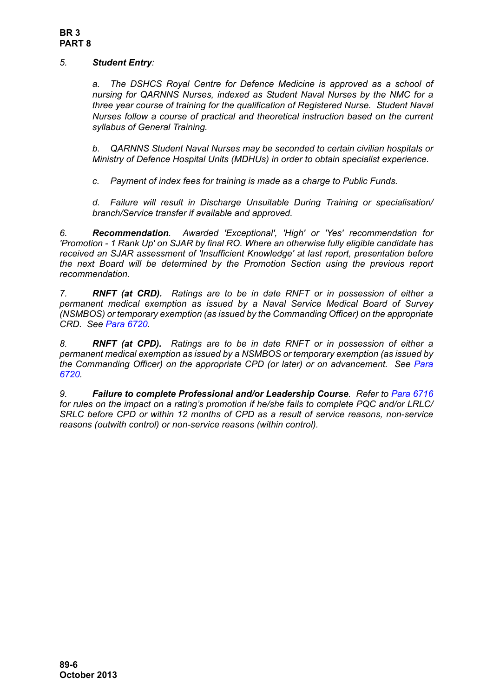## *5. Student Entry:*

*a. The DSHCS Royal Centre for Defence Medicine is approved as a school of nursing for QARNNS Nurses, indexed as Student Naval Nurses by the NMC for a three year course of training for the qualification of Registered Nurse. Student Naval Nurses follow a course of practical and theoretical instruction based on the current syllabus of General Training.*

*b. QARNNS Student Naval Nurses may be seconded to certain civilian hospitals or Ministry of Defence Hospital Units (MDHUs) in order to obtain specialist experience.*

*c. Payment of index fees for training is made as a charge to Public Funds.*

*d. Failure will result in Discharge Unsuitable During Training or specialisation/ branch/Service transfer if available and approved.*

*6. Recommendation. Awarded 'Exceptional', 'High' or 'Yes' recommendation for 'Promotion - 1 Rank Up' on SJAR by final RO. Where an otherwise fully eligible candidate has received an SJAR assessment of 'Insufficient Knowledge' at last report, presentation before the next Board will be determined by the Promotion Section using the previous report recommendation.* 

*7. RNFT (at CRD). Ratings are to be in date RNFT or in possession of either a permanent medical exemption as issued by a Naval Service Medical Board of Survey (NSMBOS) or temporary exemption (as issued by the Commanding Officer) on the appropriate CRD. See Para 6720.*

*8. RNFT (at CPD). Ratings are to be in date RNFT or in possession of either a permanent medical exemption as issued by a NSMBOS or temporary exemption (as issued by the Commanding Officer) on the appropriate CPD (or later) or on advancement. See Para 6720.*

*9. Failure to complete Professional and/or Leadership Course. Refer to Para 6716 for rules on the impact on a rating's promotion if he/she fails to complete PQC and/or LRLC/ SRLC before CPD or within 12 months of CPD as a result of service reasons, non-service reasons (outwith control) or non-service reasons (within control).*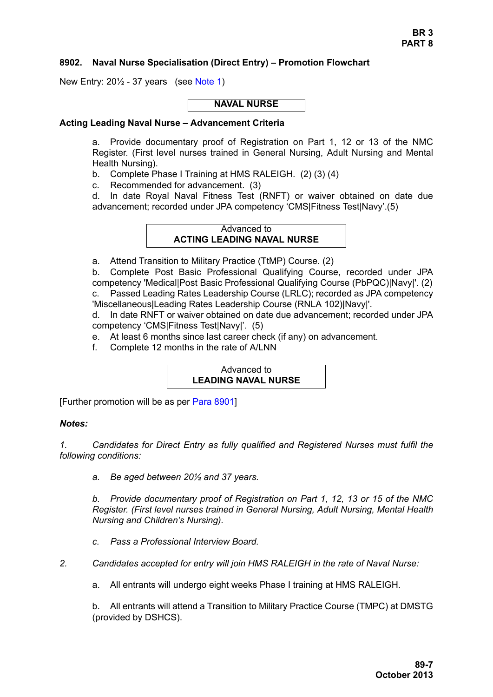### <span id="page-6-0"></span>**8902. Naval Nurse Specialisation (Direct Entry) – Promotion Flowchart**

New Entry: 20½ - 37 years (see [Note 1\)](#page-6-1)

#### **NAVAL NURSE**

#### **Acting Leading Naval Nurse – Advancement Criteria**

a. Provide documentary proof of Registration on Part 1, 12 or 13 of the NMC Register. (First level nurses trained in General Nursing, Adult Nursing and Mental Health Nursing).

b. Complete Phase I Training at HMS RALEIGH. (2) (3) (4)

c. Recommended for advancement. (3)

d. In date Royal Naval Fitness Test (RNFT) or waiver obtained on date due advancement; recorded under JPA competency 'CMS|Fitness Test|Navy'.(5)

### Advanced to **ACTING LEADING NAVAL NURSE**

a. Attend Transition to Military Practice (TtMP) Course. (2)

b. Complete Post Basic Professional Qualifying Course, recorded under JPA competency 'Medical|Post Basic Professional Qualifying Course (PbPQC)|Navy|'. (2) c. Passed Leading Rates Leadership Course (LRLC); recorded as JPA competency 'Miscellaneous|Leading Rates Leadership Course (RNLA 102)|Navy|'.

d. In date RNFT or waiver obtained on date due advancement; recorded under JPA competency 'CMS|Fitness Test|Navy|'. (5)

- e. At least 6 months since last career check (if any) on advancement.
- f. Complete 12 months in the rate of A/LNN

Advanced to **LEADING NAVAL NURSE**

[Further promotion will be as per [Para 8901](#page-1-0)]

#### *Notes:*

<span id="page-6-1"></span>*1. Candidates for Direct Entry as fully qualified and Registered Nurses must fulfil the following conditions:*

*a. Be aged between 20½ and 37 years.*

*b. Provide documentary proof of Registration on Part 1, 12, 13 or 15 of the NMC Register. (First level nurses trained in General Nursing, Adult Nursing, Mental Health Nursing and Children's Nursing).*

*c. Pass a Professional Interview Board.*

*2. Candidates accepted for entry will join HMS RALEIGH in the rate of Naval Nurse:*

a. All entrants will undergo eight weeks Phase I training at HMS RALEIGH.

b. All entrants will attend a Transition to Military Practice Course (TMPC) at DMSTG (provided by DSHCS).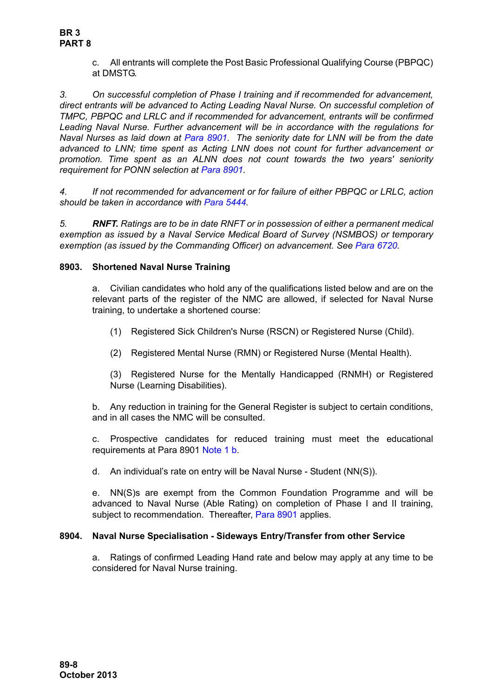c. All entrants will complete the Post Basic Professional Qualifying Course (PBPQC) at DMSTG.

*3. On successful completion of Phase I training and if recommended for advancement, direct entrants will be advanced to Acting Leading Naval Nurse. On successful completion of TMPC, PBPQC and LRLC and if recommended for advancement, entrants will be confirmed Leading Naval Nurse. Further advancement will be in accordance with the regulations for Naval Nurses as laid down at [Para 8901](#page-1-0). The seniority date for LNN will be from the date advanced to LNN; time spent as Acting LNN does not count for further advancement or promotion. Time spent as an ALNN does not count towards the two years' seniority requirement for PONN selection at [Para 8901.](#page-1-0)*

*4. If not recommended for advancement or for failure of either PBPQC or LRLC, action should be taken in accordance with Para 5444.*

*5. RNFT. Ratings are to be in date RNFT or in possession of either a permanent medical exemption as issued by a Naval Service Medical Board of Survey (NSMBOS) or temporary exemption (as issued by the Commanding Officer) on advancement. See Para 6720.*

## <span id="page-7-0"></span>**8903. Shortened Naval Nurse Training**

a. Civilian candidates who hold any of the qualifications listed below and are on the relevant parts of the register of the NMC are allowed, if selected for Naval Nurse training, to undertake a shortened course:

- (1) Registered Sick Children's Nurse (RSCN) or Registered Nurse (Child).
- (2) Registered Mental Nurse (RMN) or Registered Nurse (Mental Health).

(3) Registered Nurse for the Mentally Handicapped (RNMH) or Registered Nurse (Learning Disabilities).

b. Any reduction in training for the General Register is subject to certain conditions, and in all cases the NMC will be consulted.

c. Prospective candidates for reduced training must meet the educational requirements at [Para 8901](#page-1-0) [Note 1](#page-3-0) [b](#page-3-1).

d. An individual's rate on entry will be Naval Nurse - Student (NN(S)).

e. NN(S)s are exempt from the Common Foundation Programme and will be advanced to Naval Nurse (Able Rating) on completion of Phase I and II training, subject to recommendation. Thereafter, [Para 8901](#page-1-0) applies.

# <span id="page-7-1"></span>**8904. Naval Nurse Specialisation - Sideways Entry/Transfer from other Service**

a. Ratings of confirmed Leading Hand rate and below may apply at any time to be considered for Naval Nurse training.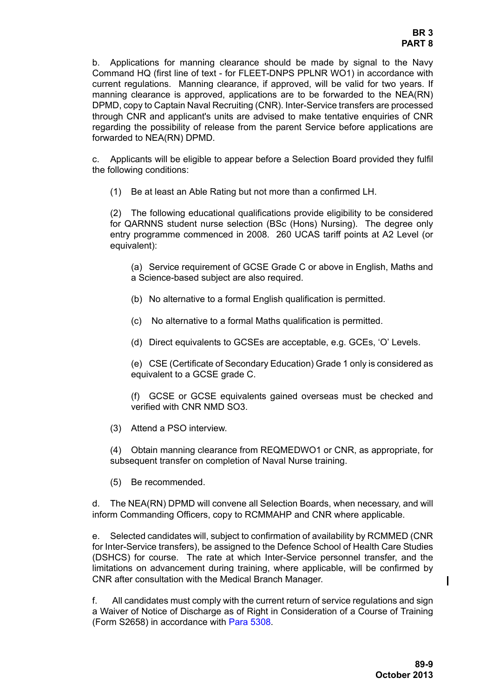b. Applications for manning clearance should be made by signal to the Navy Command HQ (first line of text - for FLEET-DNPS PPLNR WO1) in accordance with current regulations. Manning clearance, if approved, will be valid for two years. If manning clearance is approved, applications are to be forwarded to the NEA(RN) DPMD, copy to Captain Naval Recruiting (CNR). Inter-Service transfers are processed through CNR and applicant's units are advised to make tentative enquiries of CNR regarding the possibility of release from the parent Service before applications are forwarded to NEA(RN) DPMD.

c. Applicants will be eligible to appear before a Selection Board provided they fulfil the following conditions:

(1) Be at least an Able Rating but not more than a confirmed LH.

(2) The following educational qualifications provide eligibility to be considered for QARNNS student nurse selection (BSc (Hons) Nursing). The degree only entry programme commenced in 2008. 260 UCAS tariff points at A2 Level (or equivalent):

(a) Service requirement of GCSE Grade C or above in English, Maths and a Science-based subject are also required.

- (b) No alternative to a formal English qualification is permitted.
- (c) No alternative to a formal Maths qualification is permitted.
- (d) Direct equivalents to GCSEs are acceptable, e.g. GCEs, 'O' Levels.

(e) CSE (Certificate of Secondary Education) Grade 1 only is considered as equivalent to a GCSE grade C.

(f) GCSE or GCSE equivalents gained overseas must be checked and verified with CNR NMD SO3.

(3) Attend a PSO interview.

(4) Obtain manning clearance from REQMEDWO1 or CNR, as appropriate, for subsequent transfer on completion of Naval Nurse training.

(5) Be recommended.

d. The NEA(RN) DPMD will convene all Selection Boards, when necessary, and will inform Commanding Officers, copy to RCMMAHP and CNR where applicable.

e. Selected candidates will, subject to confirmation of availability by RCMMED (CNR for Inter-Service transfers), be assigned to the Defence School of Health Care Studies (DSHCS) for course. The rate at which Inter-Service personnel transfer, and the limitations on advancement during training, where applicable, will be confirmed by CNR after consultation with the Medical Branch Manager.

f. All candidates must comply with the current return of service regulations and sign a Waiver of Notice of Discharge as of Right in Consideration of a Course of Training (Form S2658) in accordance with Para 5308.